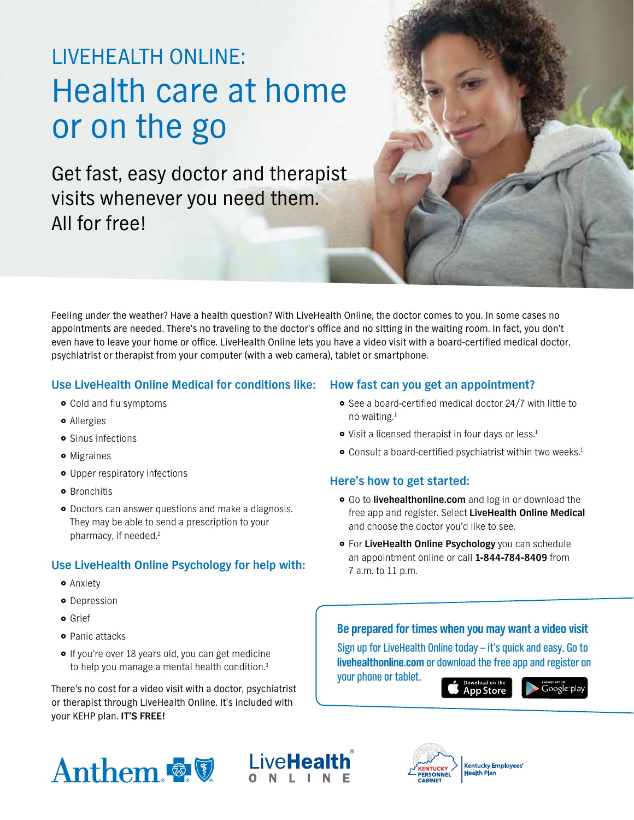# LIVEHEALTH ONLINE: Health care at home or on the go

Get fast, easy doctor and therapist visits whenever you need them. All for free!

Feeling under the weather? Have a health question? With LiveHealth Online, the doctor comes to you. In some cases no appointments are needed. There's no traveling to the doctor's office and no sitting in the waiting room. In fact, you don't even have to leave your home or office. LiveHealth Online lets you have a video visit with a board-certified medical doctor, psychiatrist or therapist from your computer (with a web camera), tablet or smartphone.

#### **Use LiveHealth Online Medical for conditions like:**

- **•** Cold and flu symptoms
- **•** Allergies
- **•** Sinus infections
- $\bullet$  Migraines
- Upper respiratory infections
- **•** Bronchitis
- **•** Doctors can answer questions and make a diagnosis. They may be able to send a prescription to your pharmacy, if needed.2

## **Use LiveHealth Online Psychology for help with:**

- **•** Anxiety
- **•** Depression
- **o** Grief
- 
- 

There's no cost for a video visit with a doctor, psychiatrist or therapist through LiveHealth Online. It's included with your KEHP plan. **IT'S FREE!** 

### **How fast can you get an appointment?**

- See a board-certified medical doctor 24/7 with little to no waiting.1
- Visit a licensed therapist in four days or less.<sup>1</sup>
- **•** Consult a board-certified psychiatrist within two weeks.<sup>1</sup>

#### **Here's how to get started:**

- **•** Go to **livehealthonline.com** and log in or download the free app and register. Select **LiveHealth Online Medical**  and choose the doctor you'd like to see.
- **For LiveHealth Online Psychology** you can schedule an appointment online or call **1-844-784-8409** from 7 a.m. to 11 p.m.

# **Be prepared for times when you may want a video visit <b>Be prepared for times when you may want a video visit**

• If you're over 18 years old, you can get medicine<br>to help you manage a mental health condition.<sup>3</sup> **[livehealthonline.com](http://www.livehealthonline.com)** or download the free app and register on your phone or tablet.

**App Store** 







l l